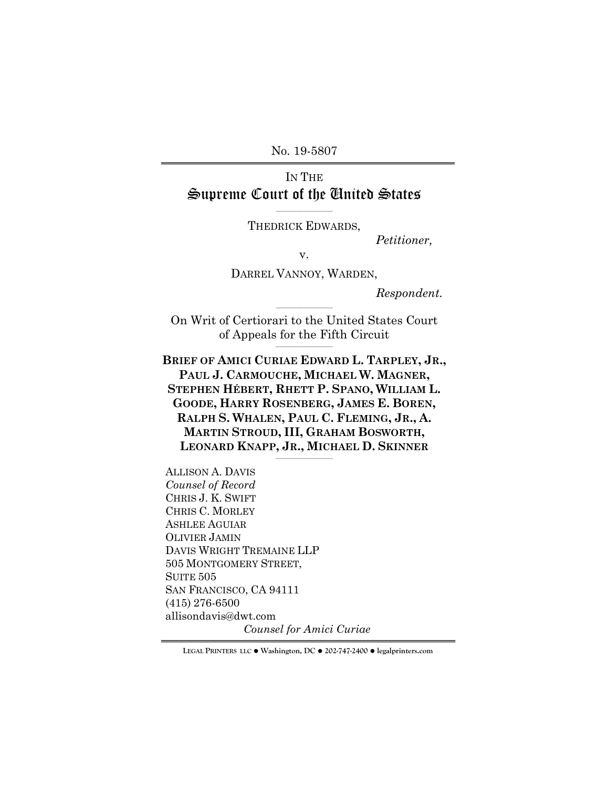No. 19-5807

# IN THE Supreme Court of the United States

 $\mathcal{L}_\text{max}$  and  $\mathcal{L}_\text{max}$  and  $\mathcal{L}_\text{max}$ THEDRICK EDWARDS,

*Petitioner,*

v.

DARREL VANNOY, WARDEN,

*Respondent.*

On Writ of Certiorari to the United States Court of Appeals for the Fifth Circuit  $\mathcal{L}=\{1,2,3,4,5\}$ 

 $\mathcal{L}=\{1,2,3,4,5\}$ 

**BRIEF OF AMICI CURIAE EDWARD L. TARPLEY, JR., PAUL J. CARMOUCHE, MICHAEL W. MAGNER, STEPHEN HÉBERT, RHETT P. SPANO, WILLIAM L. GOODE, HARRY ROSENBERG, JAMES E. BOREN, RALPH S. WHALEN, PAUL C. FLEMING, JR., A. MARTIN STROUD, III, GRAHAM BOSWORTH, LEONARD KNAPP, JR., MICHAEL D. SKINNER**

 $\mathcal{L}=\{1,2,3,4,5\}$ 

ALLISON A. DAVIS *Counsel of Record* CHRIS J. K. SWIFT CHRIS C. MORLEY ASHLEE AGUIAR OLIVIER JAMIN DAVIS WRIGHT TREMAINE LLP 505 MONTGOMERY STREET, SUITE 505 SAN FRANCISCO, CA 94111 (415) 276-6500 allisondavis@dwt.com

*Counsel for Amici Curiae*

**LEGAL PRINTERS LLC** ! **Washington, DC** ! **202-747-2400** ! **legalprinters.com**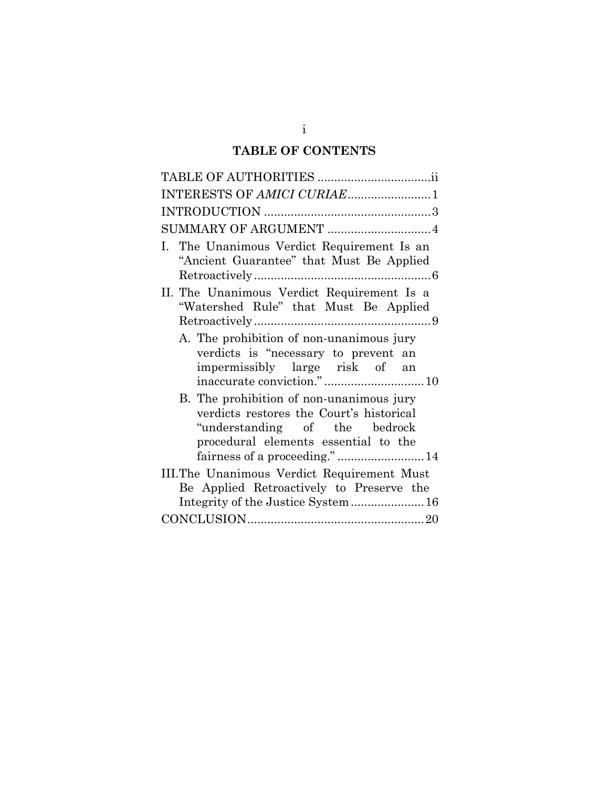# **TABLE OF CONTENTS**

| INTERESTS OF AMICI CURIAE1                                                                                                                                    |
|---------------------------------------------------------------------------------------------------------------------------------------------------------------|
|                                                                                                                                                               |
| SUMMARY OF ARGUMENT  4                                                                                                                                        |
| I. The Unanimous Verdict Requirement Is an<br>"Ancient Guarantee" that Must Be Applied                                                                        |
| II. The Unanimous Verdict Requirement Is a<br>"Watershed Rule" that Must Be Applied                                                                           |
| A. The prohibition of non-unanimous jury<br>verdicts is "necessary to prevent an<br>impermissibly large risk of an<br>inaccurate conviction."10               |
| B. The prohibition of non-unanimous jury<br>verdicts restores the Court's historical<br>"understanding of the bedrock<br>procedural elements essential to the |
| III. The Unanimous Verdict Requirement Must                                                                                                                   |
| Be Applied Retroactively to Preserve the                                                                                                                      |
|                                                                                                                                                               |
|                                                                                                                                                               |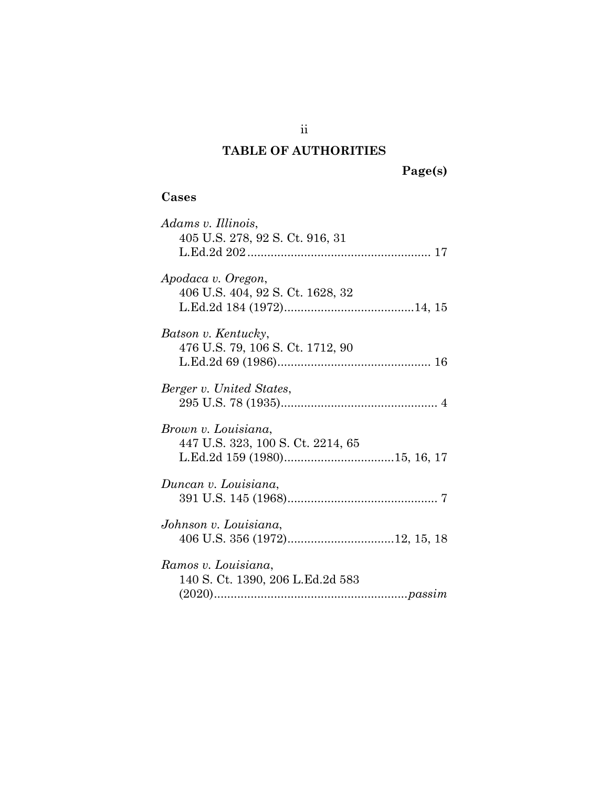# **TABLE OF AUTHORITIES**

ii

## **Cases**

| Adams v. Illinois,<br>405 U.S. 278, 92 S. Ct. 916, 31    |
|----------------------------------------------------------|
| Apodaca v. Oregon,<br>406 U.S. 404, 92 S. Ct. 1628, 32   |
| Batson v. Kentucky,<br>476 U.S. 79, 106 S. Ct. 1712, 90  |
| Berger v. United States,                                 |
| Brown v. Louisiana,<br>447 U.S. 323, 100 S. Ct. 2214, 65 |
| Duncan v. Louisiana,                                     |
| Johnson v. Louisiana,                                    |
| Ramos v. Louisiana,<br>140 S. Ct. 1390, 206 L.Ed.2d 583  |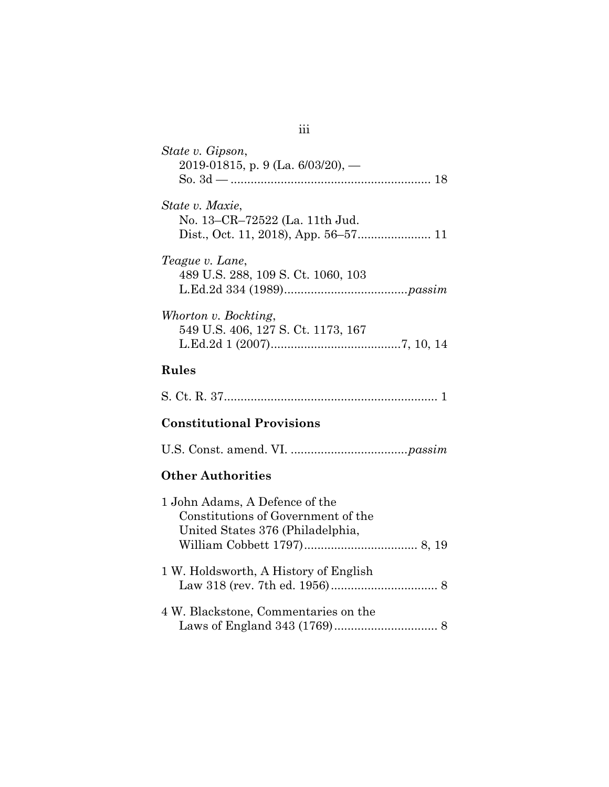| State v. Gipson,<br>2019-01815, p. 9 (La. $6/03/20$ ), -                                                 |
|----------------------------------------------------------------------------------------------------------|
| State v. Maxie,<br>No. 13-CR-72522 (La. 11th Jud.                                                        |
| Teague v. Lane,<br>489 U.S. 288, 109 S. Ct. 1060, 103                                                    |
| Whorton v. Bockting,<br>549 U.S. 406, 127 S. Ct. 1173, 167                                               |
| <b>Rules</b>                                                                                             |
|                                                                                                          |
| <b>Constitutional Provisions</b>                                                                         |
|                                                                                                          |
| <b>Other Authorities</b>                                                                                 |
| 1 John Adams, A Defence of the<br>Constitutions of Government of the<br>United States 376 (Philadelphia, |
| 1 W. Holdsworth, A History of English                                                                    |
| 4 W. Blackstone, Commentaries on the                                                                     |

iii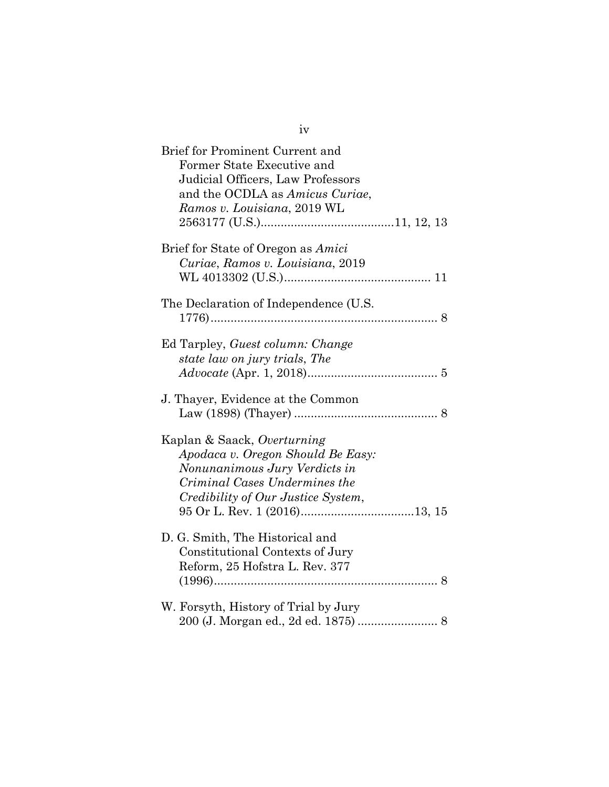| Brief for Prominent Current and<br>Former State Executive and<br>Judicial Officers, Law Professors<br>and the OCDLA as Amicus Curiae,<br>Ramos v. Louisiana, 2019 WL     |  |
|--------------------------------------------------------------------------------------------------------------------------------------------------------------------------|--|
| Brief for State of Oregon as Amici<br>Curiae, Ramos v. Louisiana, 2019                                                                                                   |  |
| The Declaration of Independence (U.S.                                                                                                                                    |  |
| Ed Tarpley, Guest column: Change<br>state law on jury trials, The                                                                                                        |  |
| J. Thayer, Evidence at the Common                                                                                                                                        |  |
| Kaplan & Saack, Overturning<br>Apodaca v. Oregon Should Be Easy:<br>Nonunanimous Jury Verdicts in<br>Criminal Cases Undermines the<br>Credibility of Our Justice System, |  |
| D. G. Smith, The Historical and<br>Constitutional Contexts of Jury<br>Reform, 25 Hofstra L. Rev. 377                                                                     |  |
| W. Forsyth, History of Trial by Jury                                                                                                                                     |  |

iv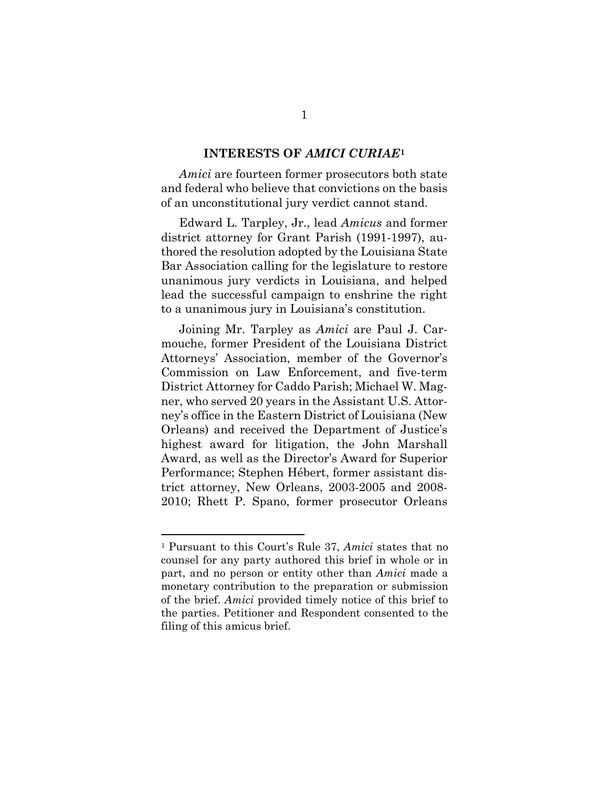#### **INTERESTS OF** *AMICI CURIAE***[1](#page-5-2)**

<span id="page-5-0"></span>*Amici* are fourteen former prosecutors both state and federal who believe that convictions on the basis of an unconstitutional jury verdict cannot stand.

Edward L. Tarpley, Jr., lead *Amicus* and former district attorney for Grant Parish (1991-1997), authored the resolution adopted by the Louisiana State Bar Association calling for the legislature to restore unanimous jury verdicts in Louisiana, and helped lead the successful campaign to enshrine the right to a unanimous jury in Louisiana's constitution.

Joining Mr. Tarpley as *Amici* are Paul J. Carmouche, former President of the Louisiana District Attorneys' Association, member of the Governor's Commission on Law Enforcement, and five-term District Attorney for Caddo Parish; Michael W. Magner, who served 20 years in the Assistant U.S. Attorney's office in the Eastern District of Louisiana (New Orleans) and received the Department of Justice's highest award for litigation, the John Marshall Award, as well as the Director's Award for Superior Performance; Stephen Hébert, former assistant district attorney, New Orleans, 2003-2005 and 2008- 2010; Rhett P. Spano, former prosecutor Orleans

<span id="page-5-2"></span><span id="page-5-1"></span><sup>1</sup> Pursuant to this Court's Rule 37, *Amici* states that no counsel for any party authored this brief in whole or in part, and no person or entity other than *Amici* made a monetary contribution to the preparation or submission of the brief. *Amici* provided timely notice of this brief to the parties. Petitioner and Respondent consented to the filing of this amicus brief.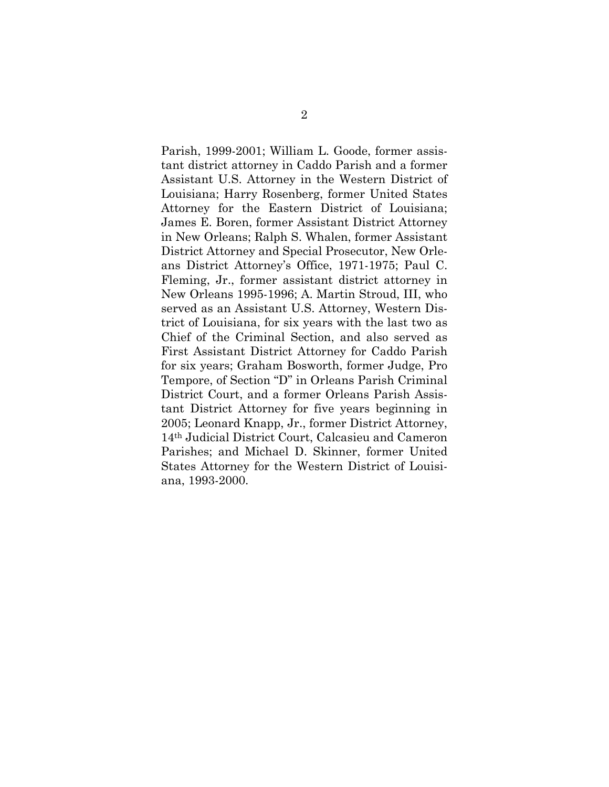Parish, 1999-2001; William L. Goode, former assistant district attorney in Caddo Parish and a former Assistant U.S. Attorney in the Western District of Louisiana; Harry Rosenberg, former United States Attorney for the Eastern District of Louisiana; James E. Boren, former Assistant District Attorney in New Orleans; Ralph S. Whalen, former Assistant District Attorney and Special Prosecutor, New Orleans District Attorney's Office, 1971-1975; Paul C. Fleming, Jr., former assistant district attorney in New Orleans 1995-1996; A. Martin Stroud, III, who served as an Assistant U.S. Attorney, Western District of Louisiana, for six years with the last two as Chief of the Criminal Section, and also served as First Assistant District Attorney for Caddo Parish for six years; Graham Bosworth, former Judge, Pro Tempore, of Section "D" in Orleans Parish Criminal District Court, and a former Orleans Parish Assistant District Attorney for five years beginning in 2005; Leonard Knapp, Jr., former District Attorney, 14th Judicial District Court, Calcasieu and Cameron Parishes; and Michael D. Skinner, former United States Attorney for the Western District of Louisiana, 1993-2000.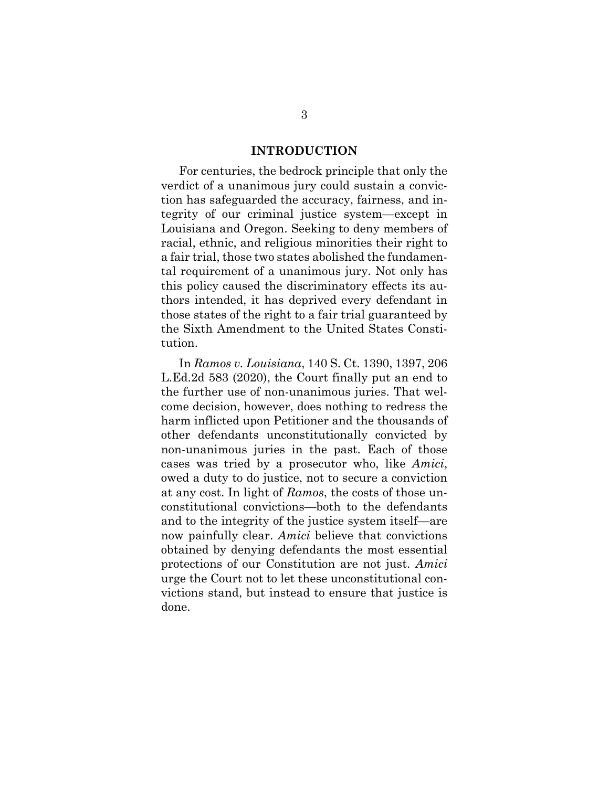#### **INTRODUCTION**

<span id="page-7-0"></span>For centuries, the bedrock principle that only the verdict of a unanimous jury could sustain a conviction has safeguarded the accuracy, fairness, and integrity of our criminal justice system—except in Louisiana and Oregon. Seeking to deny members of racial, ethnic, and religious minorities their right to a fair trial, those two states abolished the fundamental requirement of a unanimous jury. Not only has this policy caused the discriminatory effects its authors intended, it has deprived every defendant in those states of the right to a fair trial guaranteed by the Sixth Amendment to the United States Constitution.

<span id="page-7-2"></span><span id="page-7-1"></span>In *Ramos v. Louisiana*, 140 S. Ct. 1390, 1397, 206 L.Ed.2d 583 (2020), the Court finally put an end to the further use of non-unanimous juries. That welcome decision, however, does nothing to redress the harm inflicted upon Petitioner and the thousands of other defendants unconstitutionally convicted by non-unanimous juries in the past. Each of those cases was tried by a prosecutor who, like *Amici*, owed a duty to do justice, not to secure a conviction at any cost. In light of *Ramos*, the costs of those unconstitutional convictions—both to the defendants and to the integrity of the justice system itself—are now painfully clear. *Amici* believe that convictions obtained by denying defendants the most essential protections of our Constitution are not just. *Amici*  urge the Court not to let these unconstitutional convictions stand, but instead to ensure that justice is done.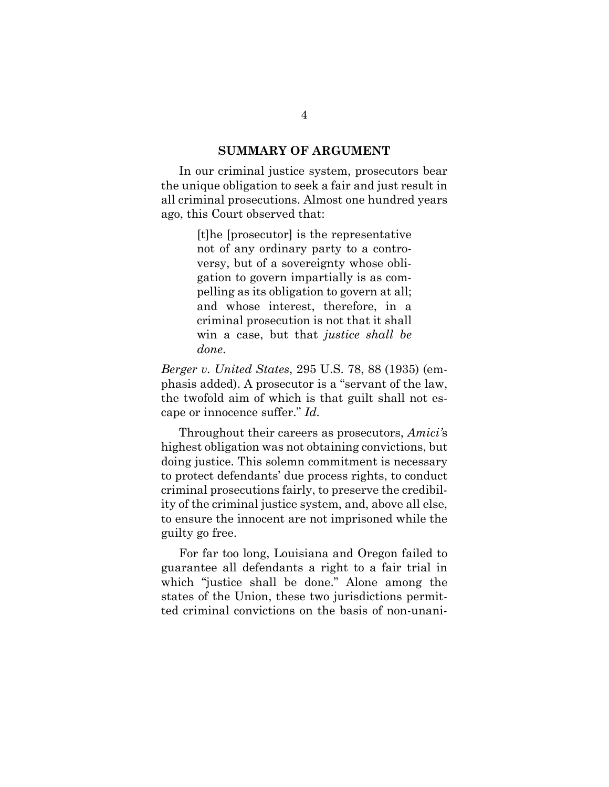#### **SUMMARY OF ARGUMENT**

<span id="page-8-0"></span>In our criminal justice system, prosecutors bear the unique obligation to seek a fair and just result in all criminal prosecutions. Almost one hundred years ago, this Court observed that:

> [t]he [prosecutor] is the representative not of any ordinary party to a controversy, but of a sovereignty whose obligation to govern impartially is as compelling as its obligation to govern at all; and whose interest, therefore, in a criminal prosecution is not that it shall win a case, but that *justice shall be done*.

<span id="page-8-1"></span>*Berger v. United States*, 295 U.S. 78, 88 (1935) (emphasis added). A prosecutor is a "servant of the law, the twofold aim of which is that guilt shall not escape or innocence suffer." *Id.*

Throughout their careers as prosecutors, *Amici'*s highest obligation was not obtaining convictions, but doing justice. This solemn commitment is necessary to protect defendants' due process rights, to conduct criminal prosecutions fairly, to preserve the credibility of the criminal justice system, and, above all else, to ensure the innocent are not imprisoned while the guilty go free.

For far too long, Louisiana and Oregon failed to guarantee all defendants a right to a fair trial in which "justice shall be done." Alone among the states of the Union, these two jurisdictions permitted criminal convictions on the basis of non-unani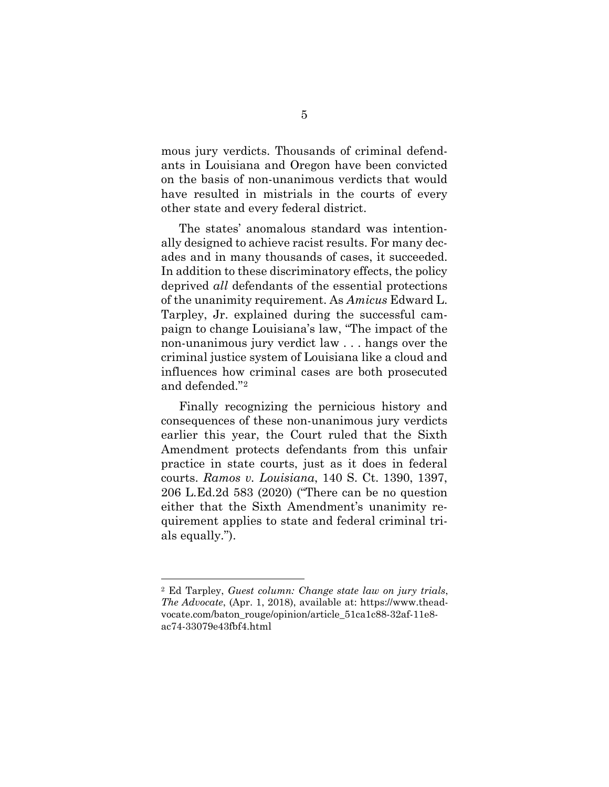mous jury verdicts. Thousands of criminal defendants in Louisiana and Oregon have been convicted on the basis of non-unanimous verdicts that would have resulted in mistrials in the courts of every other state and every federal district.

The states' anomalous standard was intentionally designed to achieve racist results. For many decades and in many thousands of cases, it succeeded. In addition to these discriminatory effects, the policy deprived *all* defendants of the essential protections of the unanimity requirement. As *Amicus* Edward L. Tarpley, Jr. explained during the successful campaign to change Louisiana's law, "The impact of the non-unanimous jury verdict law . . . hangs over the criminal justice system of Louisiana like a cloud and influences how criminal cases are both prosecuted and defended."[2](#page-9-1)

Finally recognizing the pernicious history and consequences of these non-unanimous jury verdicts earlier this year, the Court ruled that the Sixth Amendment protects defendants from this unfair practice in state courts, just as it does in federal courts. *Ramos v. Louisiana*, 140 S. Ct. 1390, 1397, 206 L.Ed.2d 583 (2020) ("There can be no question either that the Sixth Amendment's unanimity requirement applies to state and federal criminal trials equally.").

<span id="page-9-1"></span><span id="page-9-0"></span><sup>2</sup> Ed Tarpley, *Guest column: Change state law on jury trials*, *The Advocate*, (Apr. 1, 2018), available at: https://www.theadvocate.com/baton\_rouge/opinion/article\_51ca1c88-32af-11e8 ac74-33079e43fbf4.html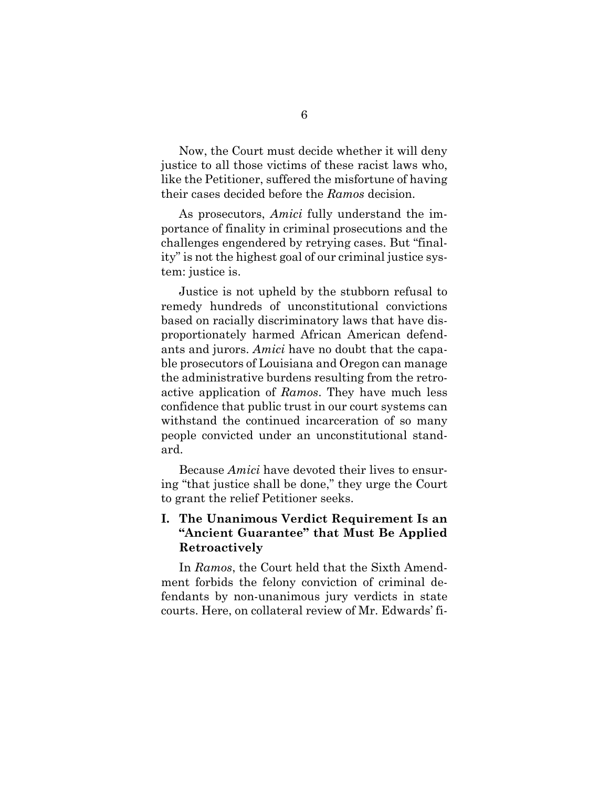Now, the Court must decide whether it will deny justice to all those victims of these racist laws who, like the Petitioner, suffered the misfortune of having their cases decided before the *Ramos* decision.

As prosecutors, *Amici* fully understand the importance of finality in criminal prosecutions and the challenges engendered by retrying cases. But "finality" is not the highest goal of our criminal justice system: justice is.

Justice is not upheld by the stubborn refusal to remedy hundreds of unconstitutional convictions based on racially discriminatory laws that have disproportionately harmed African American defendants and jurors. *Amici* have no doubt that the capable prosecutors of Louisiana and Oregon can manage the administrative burdens resulting from the retroactive application of *Ramos*. They have much less confidence that public trust in our court systems can withstand the continued incarceration of so many people convicted under an unconstitutional standard.

Because *Amici* have devoted their lives to ensuring "that justice shall be done," they urge the Court to grant the relief Petitioner seeks.

## <span id="page-10-0"></span>**I. The Unanimous Verdict Requirement Is an "Ancient Guarantee" that Must Be Applied Retroactively**

In *Ramos*, the Court held that the Sixth Amendment forbids the felony conviction of criminal defendants by non-unanimous jury verdicts in state courts. Here, on collateral review of Mr. Edwards' fi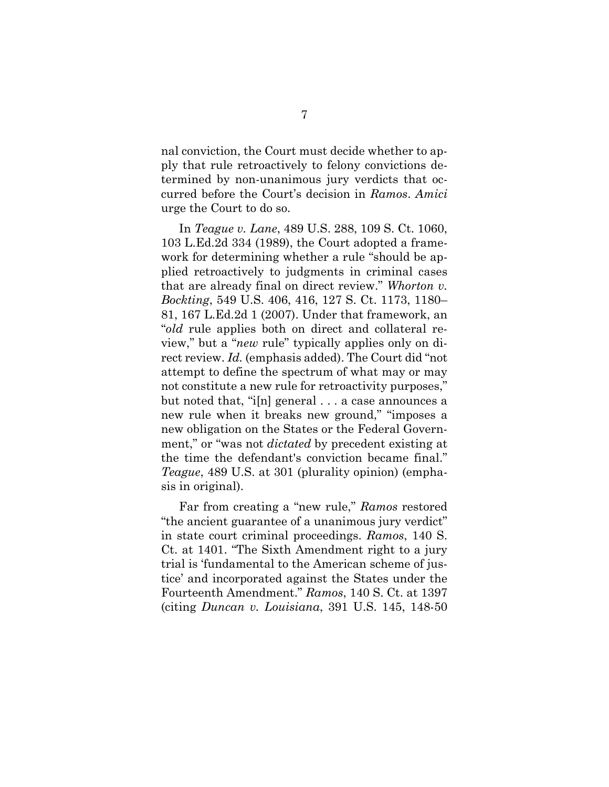nal conviction, the Court must decide whether to apply that rule retroactively to felony convictions determined by non-unanimous jury verdicts that occurred before the Court's decision in *Ramos*. *Amici* urge the Court to do so.

<span id="page-11-2"></span><span id="page-11-1"></span>In *Teague v. Lane*, 489 U.S. 288, 109 S. Ct. 1060, 103 L.Ed.2d 334 (1989), the Court adopted a framework for determining whether a rule "should be applied retroactively to judgments in criminal cases that are already final on direct review." *Whorton v. Bockting*, 549 U.S. 406, 416, 127 S. Ct. 1173, 1180– 81, 167 L.Ed.2d 1 (2007). Under that framework, an "*old* rule applies both on direct and collateral review," but a "*new* rule" typically applies only on direct review. *Id.* (emphasis added). The Court did "not attempt to define the spectrum of what may or may not constitute a new rule for retroactivity purposes," but noted that, "i[n] general . . . a case announces a new rule when it breaks new ground," "imposes a new obligation on the States or the Federal Government," or "was not *dictated* by precedent existing at the time the defendant's conviction became final." *Teague*, 489 U.S. at 301 (plurality opinion) (emphasis in original).

<span id="page-11-0"></span>Far from creating a "new rule," *Ramos* restored "the ancient guarantee of a unanimous jury verdict" in state court criminal proceedings. *Ramos*, 140 S. Ct. at 1401. "The Sixth Amendment right to a jury trial is 'fundamental to the American scheme of justice' and incorporated against the States under the Fourteenth Amendment." *Ramos*, 140 S. Ct. at 1397 (citing *Duncan v. Louisiana*, 391 U.S. 145, 148-50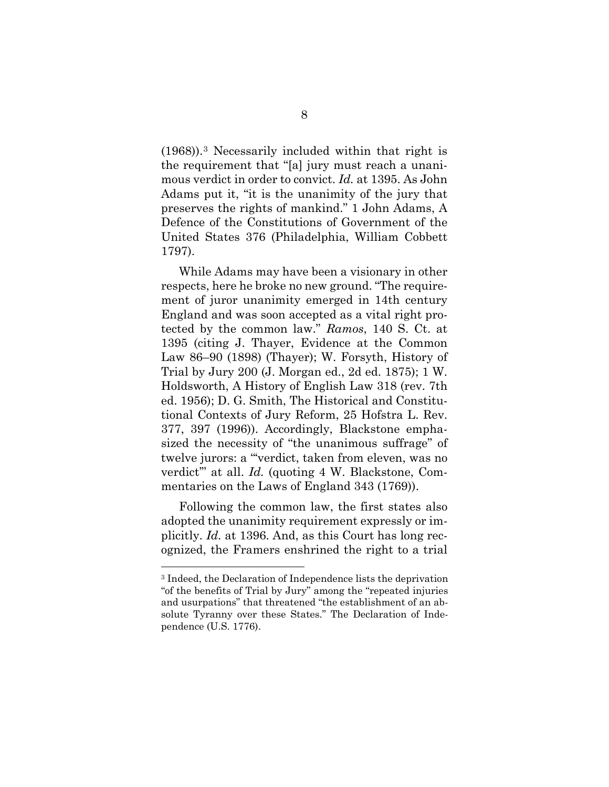<span id="page-12-0"></span>(1968)).[3](#page-12-7) Necessarily included within that right is the requirement that "[a] jury must reach a unanimous verdict in order to convict. *Id.* at 1395. As John Adams put it, "it is the unanimity of the jury that preserves the rights of mankind." 1 John Adams, A Defence of the Constitutions of Government of the United States 376 (Philadelphia, William Cobbett 1797).

<span id="page-12-6"></span><span id="page-12-4"></span><span id="page-12-1"></span>While Adams may have been a visionary in other respects, here he broke no new ground. "The requirement of juror unanimity emerged in 14th century England and was soon accepted as a vital right protected by the common law." *Ramos*, 140 S. Ct. at 1395 (citing J. Thayer, Evidence at the Common Law 86–90 (1898) (Thayer); W. Forsyth, History of Trial by Jury 200 (J. Morgan ed., 2d ed. 1875); 1 W. Holdsworth, A History of English Law 318 (rev. 7th ed. 1956); D. G. Smith, The Historical and Constitutional Contexts of Jury Reform, 25 Hofstra L. Rev. 377, 397 (1996)). Accordingly, Blackstone emphasized the necessity of "the unanimous suffrage" of twelve jurors: a "'verdict, taken from eleven, was no verdict'" at all. *Id.* (quoting 4 W. Blackstone, Commentaries on the Laws of England 343 (1769)).

<span id="page-12-5"></span><span id="page-12-2"></span>Following the common law, the first states also adopted the unanimity requirement expressly or implicitly. *Id.* at 1396. And, as this Court has long recognized, the Framers enshrined the right to a trial

<span id="page-12-7"></span><span id="page-12-3"></span><sup>3</sup> Indeed, the Declaration of Independence lists the deprivation "of the benefits of Trial by Jury" among the "repeated injuries and usurpations" that threatened "the establishment of an absolute Tyranny over these States." The Declaration of Independence (U.S. 1776).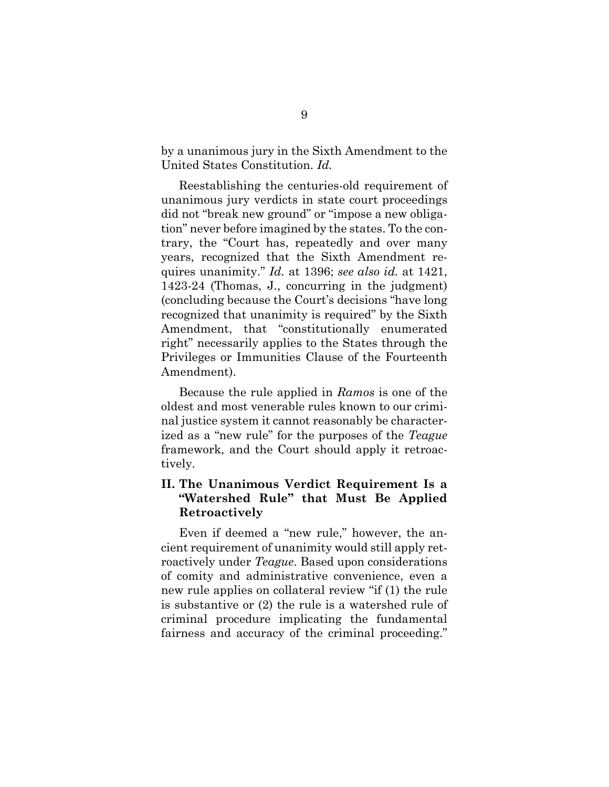by a unanimous jury in the Sixth Amendment to the United States Constitution. *Id.*

Reestablishing the centuries-old requirement of unanimous jury verdicts in state court proceedings did not "break new ground" or "impose a new obligation" never before imagined by the states. To the contrary, the "Court has, repeatedly and over many years, recognized that the Sixth Amendment requires unanimity." *Id.* at 1396; *see also id.* at 1421, 1423-24 (Thomas, J., concurring in the judgment) (concluding because the Court's decisions "have long recognized that unanimity is required" by the Sixth Amendment, that "constitutionally enumerated right" necessarily applies to the States through the Privileges or Immunities Clause of the Fourteenth Amendment).

Because the rule applied in *Ramos* is one of the oldest and most venerable rules known to our criminal justice system it cannot reasonably be characterized as a "new rule" for the purposes of the *Teague*  framework, and the Court should apply it retroactively.

#### <span id="page-13-0"></span>**II. The Unanimous Verdict Requirement Is a "Watershed Rule" that Must Be Applied Retroactively**

Even if deemed a "new rule," however, the ancient requirement of unanimity would still apply retroactively under *Teague*. Based upon considerations of comity and administrative convenience, even a new rule applies on collateral review "if (1) the rule is substantive or (2) the rule is a watershed rule of criminal procedure implicating the fundamental fairness and accuracy of the criminal proceeding."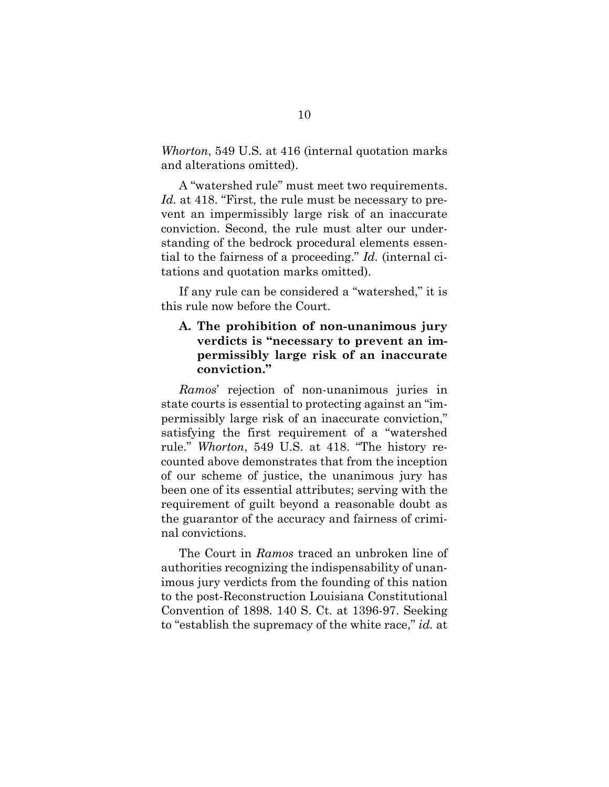<span id="page-14-1"></span>*Whorton*, 549 U.S. at 416 (internal quotation marks and alterations omitted).

A "watershed rule" must meet two requirements. Id. at 418. "First, the rule must be necessary to prevent an impermissibly large risk of an inaccurate conviction. Second, the rule must alter our understanding of the bedrock procedural elements essential to the fairness of a proceeding." *Id.* (internal citations and quotation marks omitted).

If any rule can be considered a "watershed," it is this rule now before the Court.

## <span id="page-14-0"></span>**A. The prohibition of non-unanimous jury verdicts is "necessary to prevent an impermissibly large risk of an inaccurate conviction."**

*Ramos*' rejection of non-unanimous juries in state courts is essential to protecting against an "impermissibly large risk of an inaccurate conviction," satisfying the first requirement of a "watershed rule." *Whorton*, 549 U.S. at 418. "The history recounted above demonstrates that from the inception of our scheme of justice, the unanimous jury has been one of its essential attributes; serving with the requirement of guilt beyond a reasonable doubt as the guarantor of the accuracy and fairness of criminal convictions.

The Court in *Ramos* traced an unbroken line of authorities recognizing the indispensability of unanimous jury verdicts from the founding of this nation to the post-Reconstruction Louisiana Constitutional Convention of 1898. 140 S. Ct. at 1396-97. Seeking to "establish the supremacy of the white race," *id.* at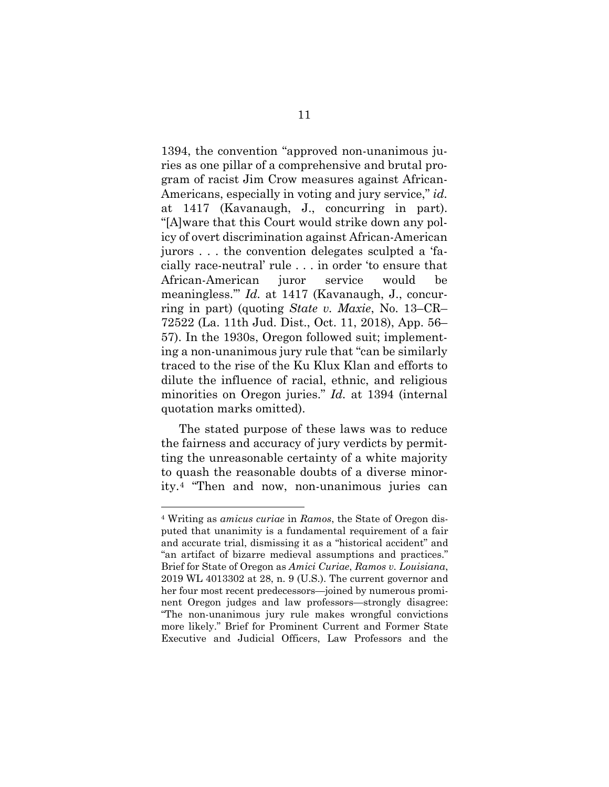1394, the convention "approved non-unanimous juries as one pillar of a comprehensive and brutal program of racist Jim Crow measures against African-Americans, especially in voting and jury service," *id.* at 1417 (Kavanaugh, J., concurring in part). "[A]ware that this Court would strike down any policy of overt discrimination against African-American jurors . . . the convention delegates sculpted a 'facially race-neutral' rule . . . in order 'to ensure that African-American juror service would be meaningless.'" *Id.* at 1417 (Kavanaugh, J., concurring in part) (quoting *State v. Maxie*, No. 13–CR– 72522 (La. 11th Jud. Dist., Oct. 11, 2018), App. 56– 57). In the 1930s, Oregon followed suit; implementing a non-unanimous jury rule that "can be similarly traced to the rise of the Ku Klux Klan and efforts to dilute the influence of racial, ethnic, and religious minorities on Oregon juries." *Id.* at 1394 (internal quotation marks omitted).

<span id="page-15-0"></span>The stated purpose of these laws was to reduce the fairness and accuracy of jury verdicts by permitting the unreasonable certainty of a white majority to quash the reasonable doubts of a diverse minority.[4](#page-15-3) "Then and now, non-unanimous juries can

<span id="page-15-3"></span><span id="page-15-2"></span><span id="page-15-1"></span><sup>4</sup> Writing as *amicus curiae* in *Ramos*, the State of Oregon disputed that unanimity is a fundamental requirement of a fair and accurate trial, dismissing it as a "historical accident" and "an artifact of bizarre medieval assumptions and practices." Brief for State of Oregon as *Amici Curiae*, *Ramos v. Louisiana*, 2019 WL 4013302 at 28, n. 9 (U.S.). The current governor and her four most recent predecessors—joined by numerous prominent Oregon judges and law professors—strongly disagree: "The non-unanimous jury rule makes wrongful convictions more likely." Brief for Prominent Current and Former State Executive and Judicial Officers, Law Professors and the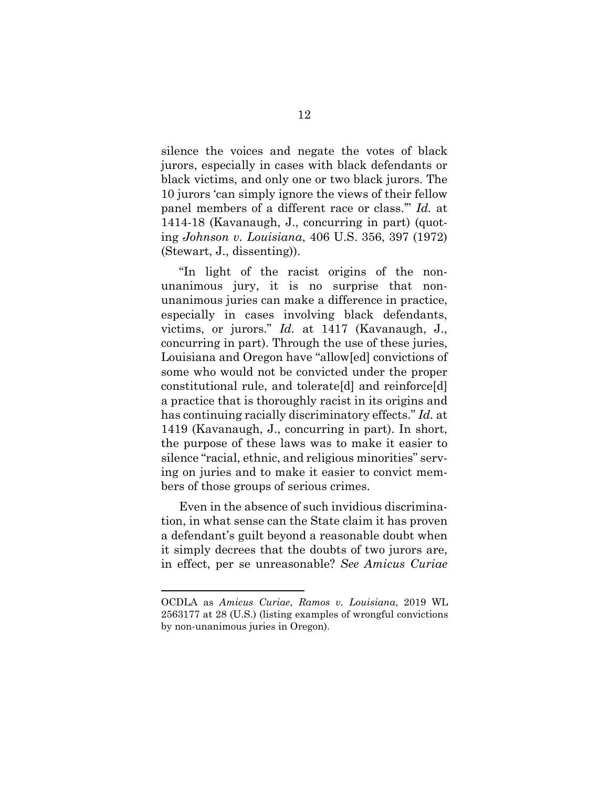silence the voices and negate the votes of black jurors, especially in cases with black defendants or black victims, and only one or two black jurors. The 10 jurors 'can simply ignore the views of their fellow panel members of a different race or class.'" *Id.* at 1414-18 (Kavanaugh, J., concurring in part) (quoting *Johnson v. Louisiana*, 406 U.S. 356, 397 (1972) (Stewart, J., dissenting)).

<span id="page-16-0"></span>"In light of the racist origins of the nonunanimous jury, it is no surprise that nonunanimous juries can make a difference in practice, especially in cases involving black defendants, victims, or jurors." *Id.* at 1417 (Kavanaugh, J., concurring in part). Through the use of these juries, Louisiana and Oregon have "allow[ed] convictions of some who would not be convicted under the proper constitutional rule, and tolerate[d] and reinforce[d] a practice that is thoroughly racist in its origins and has continuing racially discriminatory effects." *Id.* at 1419 (Kavanaugh, J., concurring in part). In short, the purpose of these laws was to make it easier to silence "racial, ethnic, and religious minorities" serving on juries and to make it easier to convict members of those groups of serious crimes.

Even in the absence of such invidious discrimination, in what sense can the State claim it has proven a defendant's guilt beyond a reasonable doubt when it simply decrees that the doubts of two jurors are, in effect, per se unreasonable? *See Amicus Curiae* 

<span id="page-16-1"></span>OCDLA as *Amicus Curiae*, *Ramos v. Louisiana*, 2019 WL 2563177 at 28 (U.S.) (listing examples of wrongful convictions by non-unanimous juries in Oregon).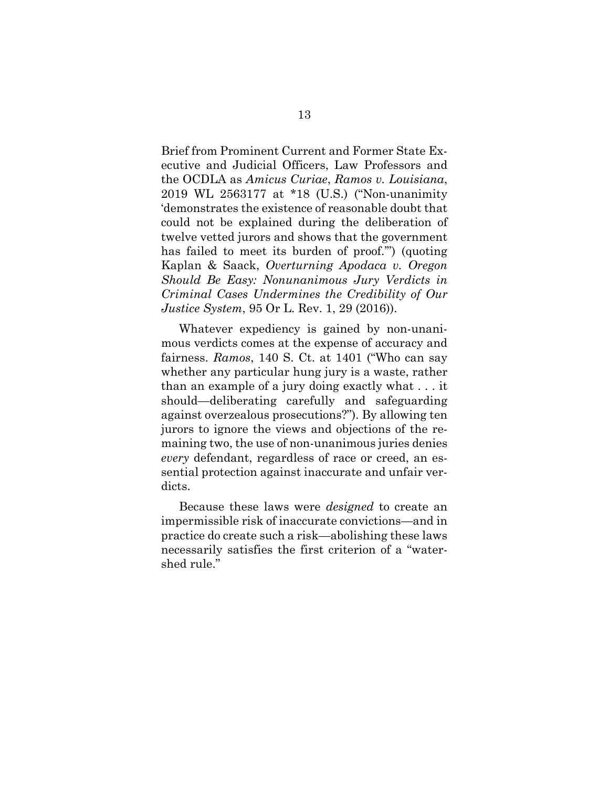<span id="page-17-0"></span>Brief from Prominent Current and Former State Executive and Judicial Officers, Law Professors and the OCDLA as *Amicus Curiae*, *Ramos v. Louisiana*, 2019 WL 2563177 at \*18 (U.S.) ("Non-unanimity 'demonstrates the existence of reasonable doubt that could not be explained during the deliberation of twelve vetted jurors and shows that the government has failed to meet its burden of proof.'") (quoting Kaplan & Saack, *Overturning Apodaca v. Oregon Should Be Easy: Nonunanimous Jury Verdicts in Criminal Cases Undermines the Credibility of Our Justice System*, 95 Or L. Rev. 1, 29 (2016)).

<span id="page-17-1"></span>Whatever expediency is gained by non-unanimous verdicts comes at the expense of accuracy and fairness. *Ramos*, 140 S. Ct. at 1401 ("Who can say whether any particular hung jury is a waste, rather than an example of a jury doing exactly what . . . it should—deliberating carefully and safeguarding against overzealous prosecutions?"). By allowing ten jurors to ignore the views and objections of the remaining two, the use of non-unanimous juries denies *every* defendant, regardless of race or creed, an essential protection against inaccurate and unfair verdicts.

Because these laws were *designed* to create an impermissible risk of inaccurate convictions—and in practice do create such a risk—abolishing these laws necessarily satisfies the first criterion of a "watershed rule."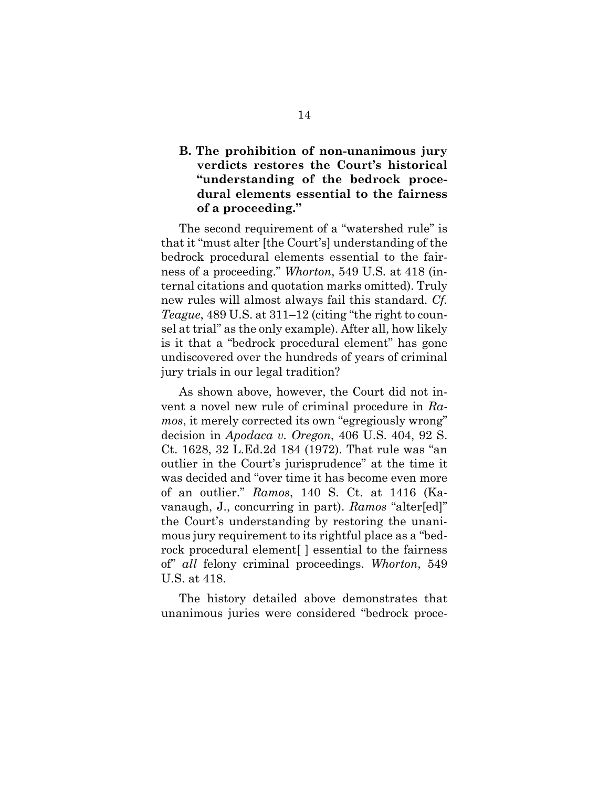### <span id="page-18-0"></span>**B. The prohibition of non-unanimous jury verdicts restores the Court's historical "understanding of the bedrock procedural elements essential to the fairness of a proceeding."**

<span id="page-18-2"></span>The second requirement of a "watershed rule" is that it "must alter [the Court's] understanding of the bedrock procedural elements essential to the fairness of a proceeding." *Whorton*, 549 U.S. at 418 (internal citations and quotation marks omitted). Truly new rules will almost always fail this standard. *Cf. Teague*, 489 U.S. at 311–12 (citing "the right to counsel at trial" as the only example). After all, how likely is it that a "bedrock procedural element" has gone undiscovered over the hundreds of years of criminal jury trials in our legal tradition?

<span id="page-18-1"></span>As shown above, however, the Court did not invent a novel new rule of criminal procedure in *Ramos*, it merely corrected its own "egregiously wrong" decision in *Apodaca v. Oregon*, 406 U.S. 404, 92 S. Ct. 1628, 32 L.Ed.2d 184 (1972). That rule was "an outlier in the Court's jurisprudence" at the time it was decided and "over time it has become even more of an outlier." *Ramos*, 140 S. Ct. at 1416 (Kavanaugh, J., concurring in part). *Ramos* "alter[ed]" the Court's understanding by restoring the unanimous jury requirement to its rightful place as a "bedrock procedural element[ ] essential to the fairness of" *all* felony criminal proceedings. *Whorton*, 549 U.S. at 418.

The history detailed above demonstrates that unanimous juries were considered "bedrock proce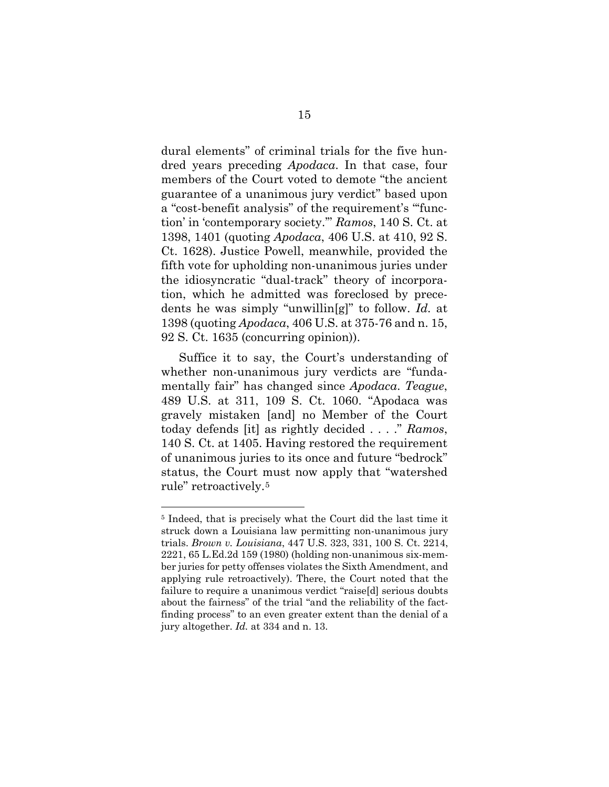<span id="page-19-3"></span><span id="page-19-0"></span>dural elements" of criminal trials for the five hundred years preceding *Apodaca*. In that case, four members of the Court voted to demote "the ancient guarantee of a unanimous jury verdict" based upon a "cost-benefit analysis" of the requirement's "'function' in 'contemporary society.'" *Ramos*, 140 S. Ct. at 1398, 1401 (quoting *Apodaca*, 406 U.S. at 410, 92 S. Ct. 1628). Justice Powell, meanwhile, provided the fifth vote for upholding non-unanimous juries under the idiosyncratic "dual-track" theory of incorporation, which he admitted was foreclosed by precedents he was simply "unwillin[g]" to follow. *Id.* at 1398 (quoting *Apodaca*, 406 U.S. at 375-76 and n. 15, 92 S. Ct. 1635 (concurring opinion)).

<span id="page-19-2"></span>Suffice it to say, the Court's understanding of whether non-unanimous jury verdicts are "fundamentally fair" has changed since *Apodaca*. *Teague*, 489 U.S. at 311, 109 S. Ct. 1060. "Apodaca was gravely mistaken [and] no Member of the Court today defends [it] as rightly decided . . . ." *Ramos*, 140 S. Ct. at 1405. Having restored the requirement of unanimous juries to its once and future "bedrock" status, the Court must now apply that "watershed rule" retroactively.[5](#page-19-4)

<span id="page-19-4"></span><span id="page-19-1"></span><sup>5</sup> Indeed, that is precisely what the Court did the last time it struck down a Louisiana law permitting non-unanimous jury trials. *Brown v. Louisiana*, 447 U.S. 323, 331, 100 S. Ct. 2214, 2221, 65 L.Ed.2d 159 (1980) (holding non-unanimous six-member juries for petty offenses violates the Sixth Amendment, and applying rule retroactively). There, the Court noted that the failure to require a unanimous verdict "raise[d] serious doubts about the fairness" of the trial "and the reliability of the factfinding process" to an even greater extent than the denial of a jury altogether. *Id.* at 334 and n. 13.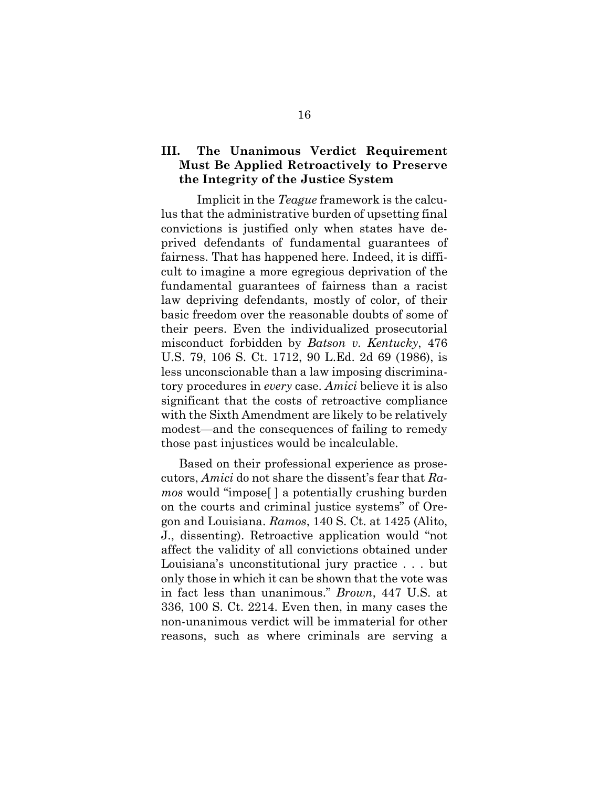### <span id="page-20-0"></span>**III. The Unanimous Verdict Requirement Must Be Applied Retroactively to Preserve the Integrity of the Justice System**

Implicit in the *Teague* framework is the calculus that the administrative burden of upsetting final convictions is justified only when states have deprived defendants of fundamental guarantees of fairness. That has happened here. Indeed, it is difficult to imagine a more egregious deprivation of the fundamental guarantees of fairness than a racist law depriving defendants, mostly of color, of their basic freedom over the reasonable doubts of some of their peers. Even the individualized prosecutorial misconduct forbidden by *Batson v. Kentucky*, 476 U.S. 79, 106 S. Ct. 1712, 90 L.Ed. 2d 69 (1986), is less unconscionable than a law imposing discriminatory procedures in *every* case. *Amici* believe it is also significant that the costs of retroactive compliance with the Sixth Amendment are likely to be relatively modest—and the consequences of failing to remedy those past injustices would be incalculable.

<span id="page-20-2"></span><span id="page-20-1"></span>Based on their professional experience as prosecutors, *Amici* do not share the dissent's fear that *Ramos* would "impose[ ] a potentially crushing burden on the courts and criminal justice systems" of Oregon and Louisiana. *Ramos*, 140 S. Ct. at 1425 (Alito, J., dissenting). Retroactive application would "not affect the validity of all convictions obtained under Louisiana's unconstitutional jury practice . . . but only those in which it can be shown that the vote was in fact less than unanimous." *Brown*, 447 U.S. at 336, 100 S. Ct. 2214. Even then, in many cases the non-unanimous verdict will be immaterial for other reasons, such as where criminals are serving a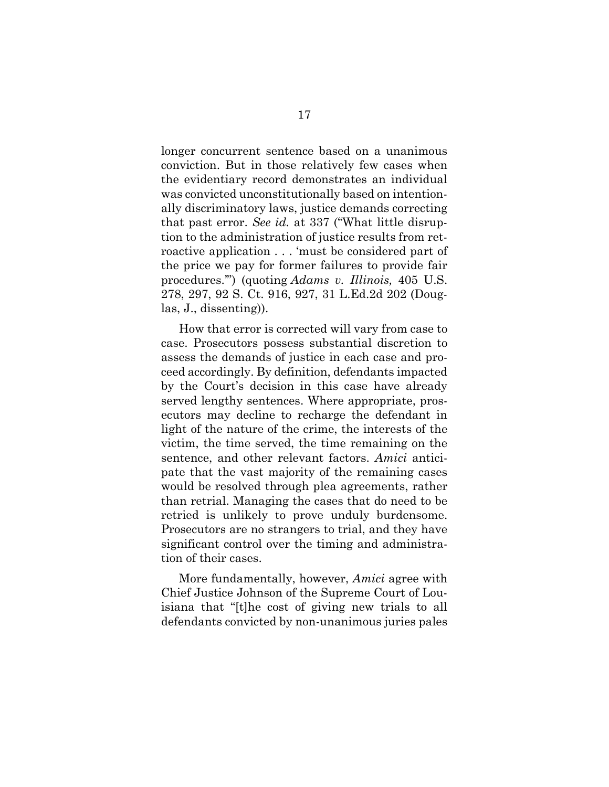<span id="page-21-1"></span>longer concurrent sentence based on a unanimous conviction. But in those relatively few cases when the evidentiary record demonstrates an individual was convicted unconstitutionally based on intentionally discriminatory laws, justice demands correcting that past error. *See id.* at 337 ("What little disruption to the administration of justice results from retroactive application . . . 'must be considered part of the price we pay for former failures to provide fair procedures.'") (quoting *Adams v. Illinois,* 405 U.S. 278, 297, 92 S. Ct. 916, 927, 31 L.Ed.2d 202 (Douglas, J., dissenting)).

<span id="page-21-0"></span>How that error is corrected will vary from case to case. Prosecutors possess substantial discretion to assess the demands of justice in each case and proceed accordingly. By definition, defendants impacted by the Court's decision in this case have already served lengthy sentences. Where appropriate, prosecutors may decline to recharge the defendant in light of the nature of the crime, the interests of the victim, the time served, the time remaining on the sentence, and other relevant factors. *Amici* anticipate that the vast majority of the remaining cases would be resolved through plea agreements, rather than retrial. Managing the cases that do need to be retried is unlikely to prove unduly burdensome. Prosecutors are no strangers to trial, and they have significant control over the timing and administration of their cases.

More fundamentally, however, *Amici* agree with Chief Justice Johnson of the Supreme Court of Louisiana that "[t]he cost of giving new trials to all defendants convicted by non-unanimous juries pales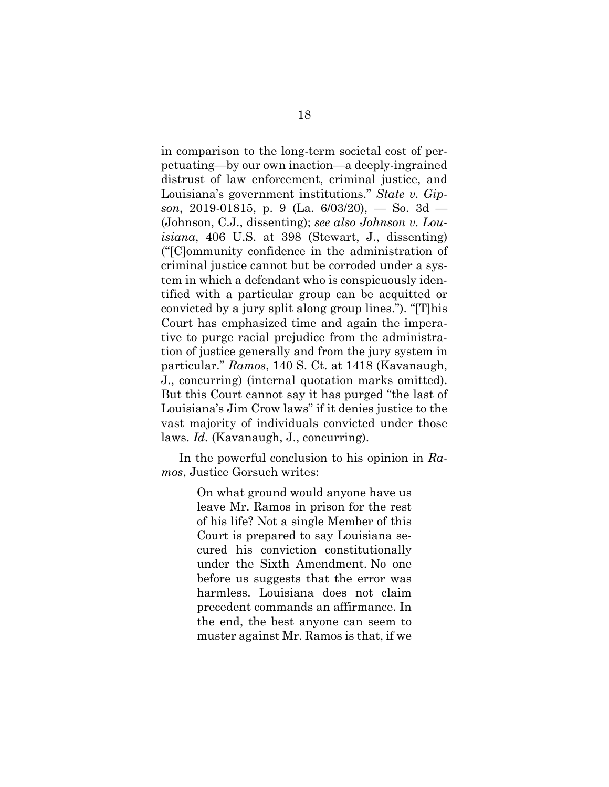<span id="page-22-1"></span><span id="page-22-0"></span>in comparison to the long-term societal cost of perpetuating—by our own inaction—a deeply-ingrained distrust of law enforcement, criminal justice, and Louisiana's government institutions." *State v. Gipson*, 2019-01815, p. 9 (La. 6/03/20), — So. 3d — (Johnson, C.J., dissenting); *see also Johnson v. Louisiana*, 406 U.S. at 398 (Stewart, J., dissenting) ("[C]ommunity confidence in the administration of criminal justice cannot but be corroded under a system in which a defendant who is conspicuously identified with a particular group can be acquitted or convicted by a jury split along group lines."). "[T]his Court has emphasized time and again the imperative to purge racial prejudice from the administration of justice generally and from the jury system in particular." *Ramos*, 140 S. Ct. at 1418 (Kavanaugh, J., concurring) (internal quotation marks omitted). But this Court cannot say it has purged "the last of Louisiana's Jim Crow laws" if it denies justice to the vast majority of individuals convicted under those laws. *Id.* (Kavanaugh, J., concurring).

In the powerful conclusion to his opinion in *Ramos*, Justice Gorsuch writes:

> On what ground would anyone have us leave Mr. Ramos in prison for the rest of his life? Not a single Member of this Court is prepared to say Louisiana secured his conviction constitutionally under the Sixth Amendment. No one before us suggests that the error was harmless. Louisiana does not claim precedent commands an affirmance. In the end, the best anyone can seem to muster against Mr. Ramos is that, if we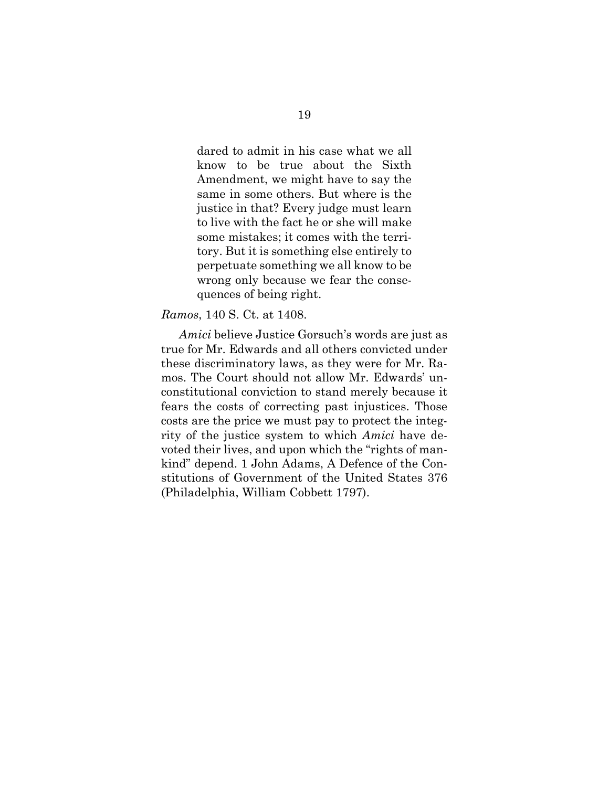dared to admit in his case what we all know to be true about the Sixth Amendment, we might have to say the same in some others. But where is the justice in that? Every judge must learn to live with the fact he or she will make some mistakes; it comes with the territory. But it is something else entirely to perpetuate something we all know to be wrong only because we fear the consequences of being right.

#### *Ramos*, 140 S. Ct. at 1408.

<span id="page-23-0"></span>*Amici* believe Justice Gorsuch's words are just as true for Mr. Edwards and all others convicted under these discriminatory laws, as they were for Mr. Ramos. The Court should not allow Mr. Edwards' unconstitutional conviction to stand merely because it fears the costs of correcting past injustices. Those costs are the price we must pay to protect the integrity of the justice system to which *Amici* have devoted their lives, and upon which the "rights of mankind" depend. 1 John Adams, A Defence of the Constitutions of Government of the United States 376 (Philadelphia, William Cobbett 1797).